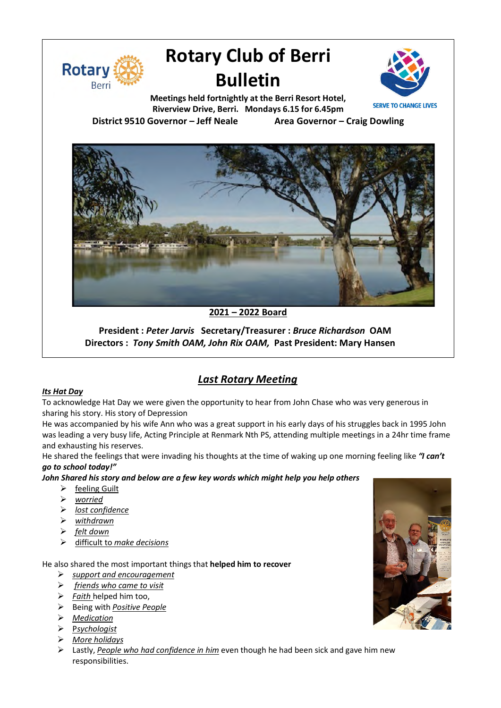

# **Rotary Club of Berri Bulletin**



**Meetings held fortnightly at the Berri Resort Hotel, Riverview Drive, Berri. Mondays 6.15 for 6.45pm District 9510 Governor – Jeff Neale Area Governor – Craig Dowling**



### **2021 – 2022 Board**

**President :** *Peter Jarvis* **Secretary/Treasurer :** *Bruce Richardson* **OAM Directors :** *Tony Smith OAM, John Rix OAM,* **Past President: Mary Hansen**

## *Last Rotary Meeting*

#### *Its Hat Day*

To acknowledge Hat Day we were given the opportunity to hear from John Chase who was very generous in sharing his story. His story of Depression

He was accompanied by his wife Ann who was a great support in his early days of his struggles back in 1995 John was leading a very busy life, Acting Principle at Renmark Nth PS, attending multiple meetings in a 24hr time frame and exhausting his reserves.

He shared the feelings that were invading his thoughts at the time of waking up one morning feeling like *"I can't go to school today!"*

*John Shared his story and below are a few key words which might help you help others*

- $\triangleright$  feeling Guilt
- Ø *worried*
- Ø *lost confidence*
- Ø *withdrawn*
- Ø *felt down*
- Ø difficult to *make decisions*

He also shared the most important things that **helped him to recover**

- Ø *support and encouragement*
- Ø *friends who came to visit*
- Ø *Faith* helped him too,
- Ø Being with *Positive People*
- Ø *Medication*
- Ø P*sychologist*
- Ø *More holidays*
- Ø Lastly, *People who had confidence in him* even though he had been sick and gave him new responsibilities.